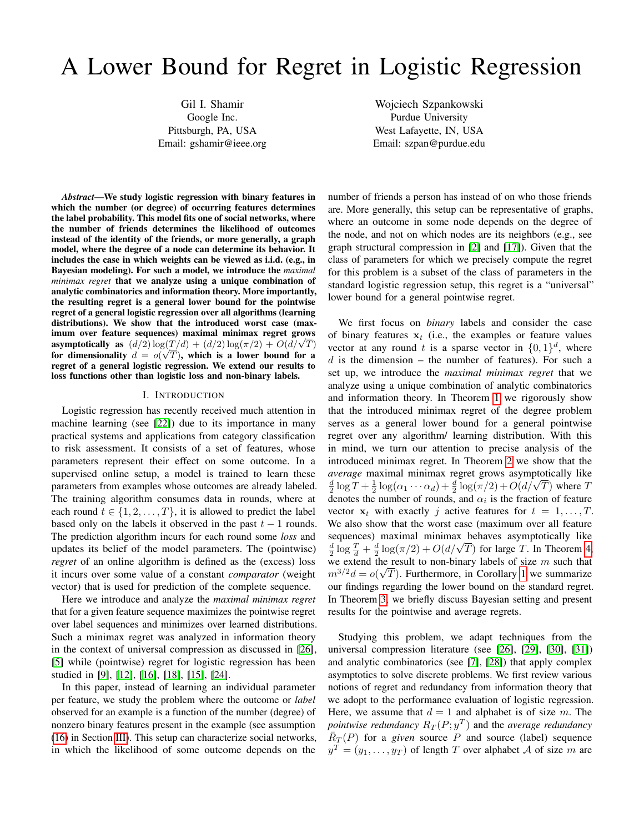# A Lower Bound for Regret in Logistic Regression

Gil I. Shamir Google Inc. Pittsburgh, PA, USA Email: gshamir@ieee.org

Wojciech Szpankowski Purdue University West Lafayette, IN, USA Email: szpan@purdue.edu

*Abstract*—We study logistic regression with binary features in which the number (or degree) of occurring features determines the label probability. This model fits one of social networks, where the number of friends determines the likelihood of outcomes instead of the identity of the friends, or more generally, a graph model, where the degree of a node can determine its behavior. It includes the case in which weights can be viewed as i.i.d. (e.g., in Bayesian modeling). For such a model, we introduce the *maximal minimax regret* that we analyze using a unique combination of analytic combinatorics and information theory. More importantly, the resulting regret is a general lower bound for the pointwise regret of a general logistic regression over all algorithms (learning distributions). We show that the introduced worst case (maximum over feature sequences) maximal minimax regret grows mum over feature sequences) maximal minimax regret grows<br>asymptotically as  $(d/2) \log(\frac{T}{d}) + (d/2) \log(\pi/2) + O(d/\sqrt{T})$ for dimensionality  $d = o(\sqrt{T})$ , which is a lower bound for a regret of a general logistic regression. We extend our results to loss functions other than logistic loss and non-binary labels.

#### I. INTRODUCTION

Logistic regression has recently received much attention in machine learning (see [\[22\]](#page-5-0)) due to its importance in many practical systems and applications from category classification to risk assessment. It consists of a set of features, whose parameters represent their effect on some outcome. In a supervised online setup, a model is trained to learn these parameters from examples whose outcomes are already labeled. The training algorithm consumes data in rounds, where at each round  $t \in \{1, 2, ..., T\}$ , it is allowed to predict the label based only on the labels it observed in the past  $t - 1$  rounds. The prediction algorithm incurs for each round some *loss* and updates its belief of the model parameters. The (pointwise) *regret* of an online algorithm is defined as the (excess) loss it incurs over some value of a constant *comparator* (weight vector) that is used for prediction of the complete sequence.

Here we introduce and analyze the *maximal minimax regret* that for a given feature sequence maximizes the pointwise regret over label sequences and minimizes over learned distributions. Such a minimax regret was analyzed in information theory in the context of universal compression as discussed in [\[26\]](#page-5-1), [\[5\]](#page-5-2) while (pointwise) regret for logistic regression has been studied in [\[9\]](#page-5-3), [\[12\]](#page-5-4), [\[16\]](#page-5-5), [\[18\]](#page-5-6), [\[15\]](#page-5-7), [\[24\]](#page-5-8).

In this paper, instead of learning an individual parameter per feature, we study the problem where the outcome or *label* observed for an example is a function of the number (degree) of nonzero binary features present in the example (see assumption [\(16\)](#page-3-0) in Section [III\)](#page-2-0). This setup can characterize social networks, in which the likelihood of some outcome depends on the

number of friends a person has instead of on who those friends are. More generally, this setup can be representative of graphs, where an outcome in some node depends on the degree of the node, and not on which nodes are its neighbors (e.g., see graph structural compression in [\[2\]](#page-5-9) and [\[17\]](#page-5-10)). Given that the class of parameters for which we precisely compute the regret for this problem is a subset of the class of parameters in the standard logistic regression setup, this regret is a "universal" lower bound for a general pointwise regret.

We first focus on *binary* labels and consider the case of binary features  $x_t$  (i.e., the examples or feature values vector at any round t is a sparse vector in  $\{0,1\}^d$ , where  $d$  is the dimension – the number of features). For such a set up, we introduce the *maximal minimax regret* that we analyze using a unique combination of analytic combinatorics and information theory. In Theorem [1](#page-3-1) we rigorously show that the introduced minimax regret of the degree problem serves as a general lower bound for a general pointwise regret over any algorithm/ learning distribution. With this in mind, we turn our attention to precise analysis of the introduced minimax regret. In Theorem [2](#page-4-0) we show that the *average* maximal minimax regret grows asymptotically like *average* maximal minimax regret grows asymptotically like  $\frac{d}{2} \log T + \frac{1}{2} \log(\alpha_1 \cdots \alpha_d) + \frac{d}{2} \log(\pi/2) + O(d/\sqrt{T})$  where T denotes the number of rounds, and  $\alpha_i$  is the fraction of feature vector  $x_t$  with exactly j active features for  $t = 1, \ldots, T$ . We also show that the worst case (maximum over all feature sequences) maximal minimax behaves asymptotically like equences) maximal minimax behaves asymptotically like<br>  $\frac{d}{2} \log \frac{T}{d} + \frac{d}{2} \log(\pi/2) + O(d/\sqrt{T})$  for large T. In Theorem [4,](#page-4-1) we extend the result to non-binary labels of size m such that  $m^{3/2}d = o(\sqrt{T})$ . Furthermore, in Corollary [1](#page-4-2) we summarize our findings regarding the lower bound on the standard regret. In Theorem [3,](#page-4-3) we briefly discuss Bayesian setting and present results for the pointwise and average regrets.

Studying this problem, we adapt techniques from the universal compression literature (see [\[26\]](#page-5-1), [\[29\]](#page-5-11), [\[30\]](#page-5-12), [\[31\]](#page-5-13)) and analytic combinatorics (see [\[7\]](#page-5-14), [\[28\]](#page-5-15)) that apply complex asymptotics to solve discrete problems. We first review various notions of regret and redundancy from information theory that we adopt to the performance evaluation of logistic regression. Here, we assume that  $d = 1$  and alphabet is of size m. The *pointwise redundancy*  $R_T(P; y^T)$  and the *average redundancy*  $\overline{R}_T(P)$  for a *given* source P and source (label) sequence  $y^T = (y_1, \ldots, y_T)$  of length T over alphabet A of size m are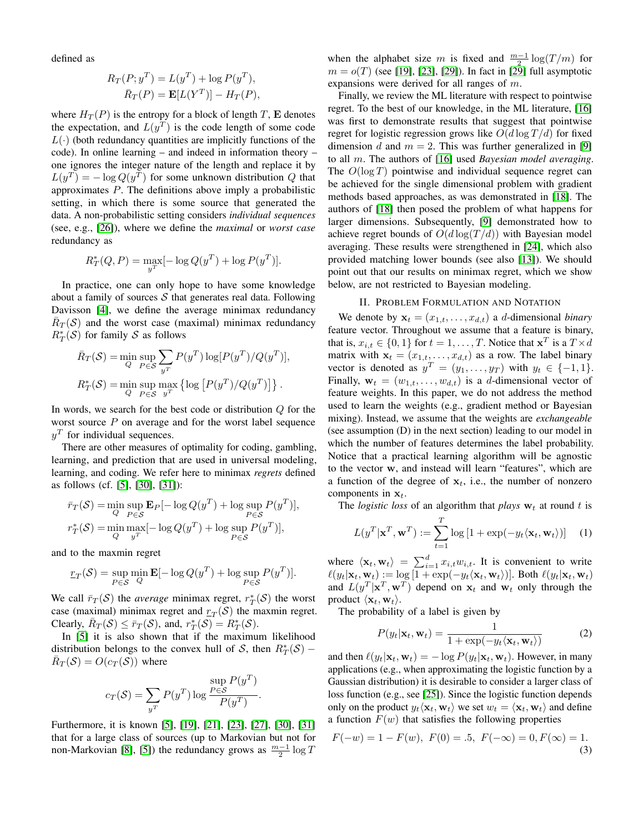defined as

$$
R_T(P; y^T) = L(y^T) + \log P(y^T),
$$
  

$$
\bar{R}_T(P) = \mathbf{E}[L(Y^T)] - H_T(P),
$$

where  $H_T(P)$  is the entropy for a block of length T, **E** denotes the expectation, and  $L(y^T)$  is the code length of some code  $L(\cdot)$  (both redundancy quantities are implicitly functions of the code). In online learning – and indeed in information theory – one ignores the integer nature of the length and replace it by  $L(y^T) = -\log Q(y^T)$  for some unknown distribution Q that approximates P. The definitions above imply a probabilistic setting, in which there is some source that generated the data. A non-probabilistic setting considers *individual sequences* (see, e.g., [\[26\]](#page-5-1)), where we define the *maximal* or *worst case* redundancy as

$$
R_T^*(Q, P) = \max_{y^T} [-\log Q(y^T) + \log P(y^T)].
$$

In practice, one can only hope to have some knowledge about a family of sources  $S$  that generates real data. Following Davisson [\[4\]](#page-5-16), we define the average minimax redundancy  $\overline{R}_T(\mathcal{S})$  and the worst case (maximal) minimax redundancy  $R_T^*(\mathcal{S})$  for family  $\mathcal S$  as follows

$$
\bar{R}_T(\mathcal{S}) = \min_{Q} \sup_{P \in \mathcal{S}} \sum_{y^T} P(y^T) \log[P(y^T)/Q(y^T)],
$$
  

$$
R_T^*(\mathcal{S}) = \min_{Q} \sup_{P \in \mathcal{S}} \max_{y^T} \{ \log[P(y^T)/Q(y^T)] \}.
$$

In words, we search for the best code or distribution  $Q$  for the worst source  $P$  on average and for the worst label sequence  $y<sup>T</sup>$  for individual sequences.

There are other measures of optimality for coding, gambling, learning, and prediction that are used in universal modeling, learning, and coding. We refer here to minimax *regrets* defined as follows (cf. [\[5\]](#page-5-2), [\[30\]](#page-5-12), [\[31\]](#page-5-13)):

$$
\bar{r}_T(\mathcal{S}) = \min_{Q} \sup_{P \in \mathcal{S}} \mathbf{E}_P[-\log Q(y^T) + \log \sup_{P \in \mathcal{S}} P(y^T)],
$$
  

$$
r_T^*(\mathcal{S}) = \min_{Q} \max_{y^T} [-\log Q(y^T) + \log \sup_{P \in \mathcal{S}} P(y^T)],
$$

and to the maxmin regret

$$
\underline{r}_T(\mathcal{S}) = \sup_{P \in \mathcal{S}} \min_{Q} \mathbf{E}[-\log Q(y^T) + \log \sup_{P \in \mathcal{S}} P(y^T)].
$$

We call  $\bar{r}_T(\mathcal{S})$  the *average* minimax regret,  $r_T^*(\mathcal{S})$  the worst case (maximal) minimax regret and  $r_T(\mathcal{S})$  the maxmin regret. Clearly,  $\overline{R}_T(\mathcal{S}) \leq \overline{r}_T(\mathcal{S})$ , and,  $r_T^*(\mathcal{S}) = R_T^*(\mathcal{S})$ .

In [\[5\]](#page-5-2) it is also shown that if the maximum likelihood distribution belongs to the convex hull of S, then  $R^*_T(S)$  –  $\overline{R}_T(\mathcal{S}) = O(c_T(\mathcal{S}))$  where

$$
c_T(\mathcal{S}) = \sum_{y^T} P(y^T) \log \frac{\sup_{P \in \mathcal{S}} P(y^T)}{P(y^T)}.
$$

Furthermore, it is known [\[5\]](#page-5-2), [\[19\]](#page-5-17), [\[21\]](#page-5-18), [\[23\]](#page-5-19), [\[27\]](#page-5-20), [\[30\]](#page-5-12), [\[31\]](#page-5-13) that for a large class of sources (up to Markovian but not for non-Markovian [\[8\]](#page-5-21), [\[5\]](#page-5-2)) the redundancy grows as  $\frac{m-1}{2} \log T$ 

when the alphabet size m is fixed and  $\frac{m-1}{2} \log(T/m)$  for  $m = o(T)$  (see [\[19\]](#page-5-17), [\[23\]](#page-5-19), [\[29\]](#page-5-11)). In fact in [29] full asymptotic expansions were derived for all ranges of m.

Finally, we review the ML literature with respect to pointwise regret. To the best of our knowledge, in the ML literature, [\[16\]](#page-5-5) was first to demonstrate results that suggest that pointwise regret for logistic regression grows like  $O(d \log T/d)$  for fixed dimension d and  $m = 2$ . This was further generalized in [\[9\]](#page-5-3) to all m. The authors of [\[16\]](#page-5-5) used *Bayesian model averaging*. The  $O(\log T)$  pointwise and individual sequence regret can be achieved for the single dimensional problem with gradient methods based approaches, as was demonstrated in [\[18\]](#page-5-6). The authors of [\[18\]](#page-5-6) then posed the problem of what happens for larger dimensions. Subsequently, [\[9\]](#page-5-3) demonstrated how to achieve regret bounds of  $O(d \log(T/d))$  with Bayesian model averaging. These results were strengthened in [\[24\]](#page-5-8), which also provided matching lower bounds (see also [\[13\]](#page-5-22)). We should point out that our results on minimax regret, which we show below, are not restricted to Bayesian modeling.

## II. PROBLEM FORMULATION AND NOTATION

We denote by  $\mathbf{x}_t = (x_{1,t}, \dots, x_{d,t})$  a *d*-dimensional *binary* feature vector. Throughout we assume that a feature is binary, that is,  $x_{i,t} \in \{0,1\}$  for  $t = 1, \ldots, T$ . Notice that  $\mathbf{x}^T$  is a  $T \times d$ matrix with  $\mathbf{x}_t = (x_{1,t}, \dots, x_{d,t})$  as a row. The label binary vector is denoted as  $y^T = (y_1, \dots, y_T)$  with  $y_t \in \{-1, 1\}$ . Finally,  $\mathbf{w}_t = (w_{1,t}, \dots, w_{d,t})$  is a *d*-dimensional vector of feature weights. In this paper, we do not address the method used to learn the weights (e.g., gradient method or Bayesian mixing). Instead, we assume that the weights are *exchangeable* (see assumption (D) in the next section) leading to our model in which the number of features determines the label probability. Notice that a practical learning algorithm will be agnostic to the vector w, and instead will learn "features", which are a function of the degree of  $x_t$ , i.e., the number of nonzero components in  $x_t$ .

The *logistic loss* of an algorithm that *plays*  $w_t$  at round t is

$$
L(y^T | \mathbf{x}^T, \mathbf{w}^T) := \sum_{t=1}^T \log\left[1 + \exp(-y_t \langle \mathbf{x}_t, \mathbf{w}_t \rangle)\right]
$$
 (1)

where  $\langle \mathbf{x}_t, \mathbf{w}_t \rangle = \sum_{i=1}^d x_{i,t} w_{i,t}$ . It is convenient to write  $\ell(y_t|\mathbf{x}_t, \mathbf{w}_t) := \log [1 + \exp(-y_t\langle \mathbf{x}_t, \mathbf{w}_t \rangle)].$  Both  $\ell(y_t|\mathbf{x}_t, \mathbf{w}_t)$ and  $L(y^T | \mathbf{x}^T, \mathbf{w}^T)$  depend on  $\mathbf{x}_t$  and  $\mathbf{w}_t$  only through the product  $\langle \mathbf{x}_t, \mathbf{w}_t \rangle$ .

The probability of a label is given by

<span id="page-1-0"></span>
$$
P(y_t|\mathbf{x}_t, \mathbf{w}_t) = \frac{1}{1 + \exp(-y_t \langle \mathbf{x}_t, \mathbf{w}_t \rangle)}
$$
(2)

and then  $\ell(y_t|\mathbf{x}_t, \mathbf{w}_t) = -\log P(y_t|\mathbf{x}_t, \mathbf{w}_t)$ . However, in many applications (e.g., when approximating the logistic function by a Gaussian distribution) it is desirable to consider a larger class of loss function (e.g., see [\[25\]](#page-5-23)). Since the logistic function depends only on the product  $y_t \langle \mathbf{x}_t, \mathbf{w}_t \rangle$  we set  $w_t = \langle \mathbf{x}_t, \mathbf{w}_t \rangle$  and define a function  $F(w)$  that satisfies the following properties

<span id="page-1-1"></span>
$$
F(-w) = 1 - F(w), \ F(0) = .5, \ F(-\infty) = 0, F(\infty) = 1.
$$
\n(3)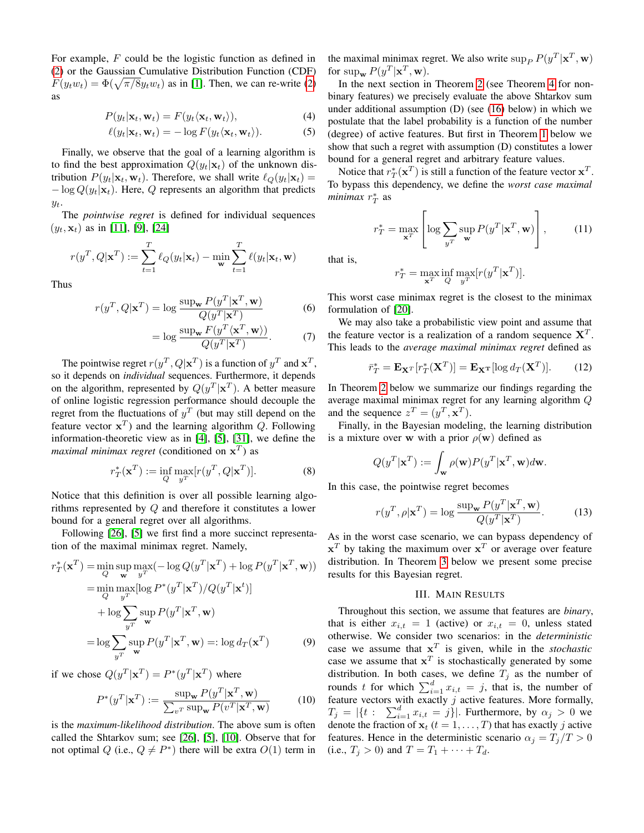For example, F could be the logistic function as defined in [\(2\)](#page-1-0) or the Gaussian Cumulative Distribution Function (CDF)  $F(y_t w_t) = \Phi(\sqrt{\pi/8}y_t w_t)$  as in [\[1\]](#page-5-24). Then, we can re-write [\(2\)](#page-1-0) as

$$
P(y_t|\mathbf{x}_t, \mathbf{w}_t) = F(y_t \langle \mathbf{x}_t, \mathbf{w}_t \rangle), \tag{4}
$$

$$
\ell(y_t|\mathbf{x}_t, \mathbf{w}_t) = -\log F(y_t \langle \mathbf{x}_t, \mathbf{w}_t \rangle). \tag{5}
$$

Finally, we observe that the goal of a learning algorithm is to find the best approximation  $Q(y_t|\mathbf{x}_t)$  of the unknown distribution  $P(y_t|\mathbf{x}_t, \mathbf{w}_t)$ . Therefore, we shall write  $\ell_Q(y_t|\mathbf{x}_t) =$  $-\log Q(y_t|\mathbf{x}_t)$ . Here, Q represents an algorithm that predicts  $y_t$ .

The *pointwise regret* is defined for individual sequences  $(y_t, \mathbf{x}_t)$  as in [\[11\]](#page-5-25), [\[9\]](#page-5-3), [\[24\]](#page-5-8)

$$
r(y^T, Q | \mathbf{x}^T) := \sum_{t=1}^T \ell_Q(y_t | \mathbf{x}_t) - \min_{\mathbf{w}} \sum_{t=1}^T \ell(y_t | \mathbf{x}_t, \mathbf{w})
$$

Thus

$$
r(y^T, Q | \mathbf{x}^T) = \log \frac{\sup_{\mathbf{w}} P(y^T | \mathbf{x}^T, \mathbf{w})}{Q(y^T | \mathbf{x}^T)}
$$
(6)

$$
= \log \frac{\sup_{\mathbf{w}} F(y^T \langle \mathbf{x}^T, \mathbf{w} \rangle)}{Q(y^T | \mathbf{x}^T)}.
$$
 (7)

The pointwise regret  $r(y^T, Q | \mathbf{x}^T)$  is a function of  $y^T$  and  $\mathbf{x}^T$ , so it depends on *individual* sequences. Furthermore, it depends on the algorithm, represented by  $Q(y^T|\mathbf{x}^T)$ . A better measure of online logistic regression performance should decouple the regret from the fluctuations of  $y<sup>T</sup>$  (but may still depend on the feature vector  $x^T$ ) and the learning algorithm Q. Following information-theoretic view as in [\[4\]](#page-5-16), [\[5\]](#page-5-2), [\[31\]](#page-5-13), we define the *maximal minimax regret* (conditioned on  $x^T$ ) as

$$
r_T^*(\mathbf{x}^T) := \inf_{Q} \max_{y^T} [r(y^T, Q | \mathbf{x}^T)].
$$
 (8)

Notice that this definition is over all possible learning algorithms represented by Q and therefore it constitutes a lower bound for a general regret over all algorithms.

Following [\[26\]](#page-5-1), [\[5\]](#page-5-2) we first find a more succinct representation of the maximal minimax regret. Namely,

$$
r_T^*(\mathbf{x}^T) = \min_{Q} \sup_{\mathbf{w}} \max_{y^T} (-\log Q(y^T | \mathbf{x}^T) + \log P(y^T | \mathbf{x}^T, \mathbf{w}))
$$
  
\n
$$
= \min_{Q} \max_{y^T} [\log P^*(y^T | \mathbf{x}^T) / Q(y^T | \mathbf{x}^t)]
$$
  
\n
$$
+ \log \sum_{y^T} \sup_{\mathbf{w}} P(y^T | \mathbf{x}^T, \mathbf{w})
$$
  
\n
$$
= \log \sum_{y^T} \sup_{\mathbf{w}} P(y^T | \mathbf{x}^T, \mathbf{w}) =: \log d_T(\mathbf{x}^T)
$$
 (9)

if we chose  $Q(y^T|\mathbf{x}^T) = P^*(y^T|\mathbf{x}^T)$  where

$$
P^*(y^T|\mathbf{x}^T) := \frac{\sup_{\mathbf{w}} P(y^T|\mathbf{x}^T, \mathbf{w})}{\sum_{v^T} \sup_{\mathbf{w}} P(v^T|\mathbf{x}^T, \mathbf{w})}
$$
(10)

is the *maximum-likelihood distribution*. The above sum is often called the Shtarkov sum; see [\[26\]](#page-5-1), [\[5\]](#page-5-2), [\[10\]](#page-5-26). Observe that for not optimal Q (i.e.,  $Q \neq P^*$ ) there will be extra  $O(1)$  term in the maximal minimax regret. We also write  $\sup_P P(y^T|\mathbf{x}^T, \mathbf{w})$ for  $\sup_{\mathbf{w}} P(y^T | \mathbf{x}^T, \mathbf{w}).$ 

In the next section in Theorem [2](#page-4-0) (see Theorem [4](#page-4-1) for nonbinary features) we precisely evaluate the above Shtarkov sum under additional assumption (D) (see [\(16\)](#page-3-0) below) in which we postulate that the label probability is a function of the number (degree) of active features. But first in Theorem [1](#page-3-1) below we show that such a regret with assumption (D) constitutes a lower bound for a general regret and arbitrary feature values.

Notice that  $r_T^*(\mathbf{x}^T)$  is still a function of the feature vector  $\mathbf{x}^T$ . To bypass this dependency, we define the *worst case maximal minimax*  $r_T^*$  as

$$
r_T^* = \max_{\mathbf{x}^T} \left[ \log \sum_{y^T} \sup_{\mathbf{w}} P(y^T | \mathbf{x}^T, \mathbf{w}) \right],\tag{11}
$$

that is,

$$
r_T^* = \max_{\mathbf{x}^T} \inf_{Q} \max_{y^T} [r(y^T | \mathbf{x}^T)].
$$

This worst case minimax regret is the closest to the minimax formulation of [\[20\]](#page-5-27).

We may also take a probabilistic view point and assume that the feature vector is a realization of a random sequence  $X<sup>T</sup>$ . This leads to the *average maximal minimax regret* defined as

$$
\bar{r}_T^* = \mathbf{E}_{\mathbf{X}^T} [r_T^*(\mathbf{X}^T)] = \mathbf{E}_{\mathbf{X}^T} [\log d_T(\mathbf{X}^T)]. \tag{12}
$$

In Theorem [2](#page-4-0) below we summarize our findings regarding the average maximal minimax regret for any learning algorithm Q and the sequence  $z^T = (y^T, \mathbf{x}^T)$ .

Finally, in the Bayesian modeling, the learning distribution is a mixture over w with a prior  $\rho(\mathbf{w})$  defined as

$$
Q(y^T|\mathbf{x}^T) := \int_{\mathbf{w}} \rho(\mathbf{w}) P(y^T|\mathbf{x}^T, \mathbf{w}) d\mathbf{w}.
$$

In this case, the pointwise regret becomes

<span id="page-2-1"></span>
$$
r(y^T, \rho | \mathbf{x}^T) = \log \frac{\sup_{\mathbf{w}} P(y^T | \mathbf{x}^T, \mathbf{w})}{Q(y^T | \mathbf{x}^T)}.
$$
 (13)

As in the worst case scenario, we can bypass dependency of  $x^T$  by taking the maximum over  $x^T$  or average over feature distribution. In Theorem [3](#page-4-3) below we present some precise results for this Bayesian regret.

## III. MAIN RESULTS

<span id="page-2-0"></span>Throughout this section, we assume that features are *binary*, that is either  $x_{i,t} = 1$  (active) or  $x_{i,t} = 0$ , unless stated otherwise. We consider two scenarios: in the *deterministic* case we assume that  $x^T$  is given, while in the *stochastic* case we assume that  $x^T$  is stochastically generated by some distribution. In both cases, we define  $T_j$  as the number of rounds t for which  $\sum_{i=1}^{d} x_{i,t} = j$ , that is, the number of feature vectors with exactly  $j$  active features. More formally,  $T_j = |\{t : \sum_{i=1}^d x_{i,t} = j\}|.$  Furthermore, by  $\alpha_j > 0$  we denote the fraction of  $x_t$  ( $t = 1, \ldots, T$ ) that has exactly j active features. Hence in the deterministic scenario  $\alpha_i = T_i/T > 0$ (i.e.,  $T_j > 0$ ) and  $T = T_1 + \cdots + T_d$ .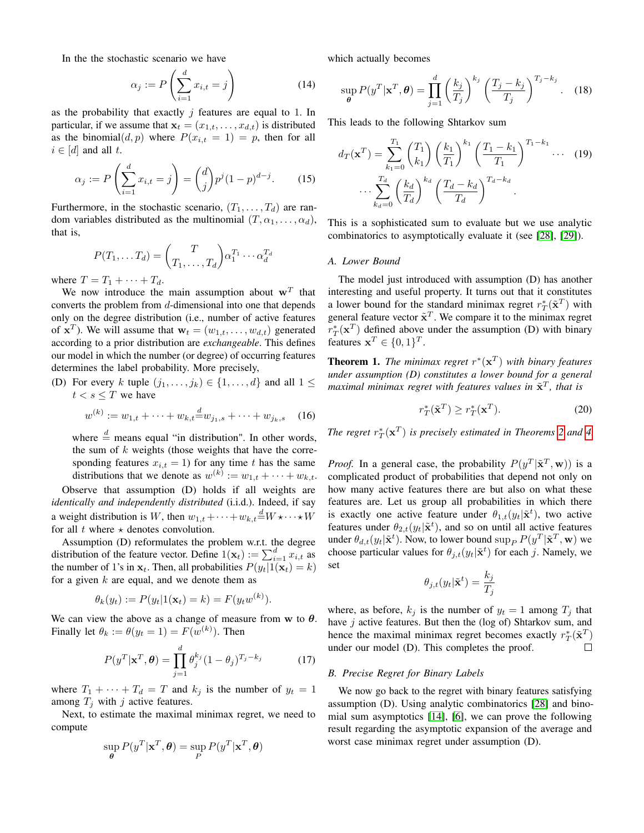In the the stochastic scenario we have

$$
\alpha_j := P\left(\sum_{i=1}^d x_{i,t} = j\right) \tag{14}
$$

as the probability that exactly  $j$  features are equal to 1. In particular, if we assume that  $\mathbf{x}_t = (x_{1,t}, \dots, x_{d,t})$  is distributed as the binomial $(d, p)$  where  $P(x_{i,t} = 1) = p$ , then for all  $i \in [d]$  and all t.

$$
\alpha_j := P\left(\sum_{i=1}^d x_{i,t} = j\right) = \binom{d}{j} p^j (1-p)^{d-j}.
$$
 (15)

Furthermore, in the stochastic scenario,  $(T_1, \ldots, T_d)$  are random variables distributed as the multinomial  $(T, \alpha_1, \ldots, \alpha_d)$ , that is,

$$
P(T_1, \ldots, T_d) = \binom{T}{T_1, \ldots, T_d} \alpha_1^{T_1} \cdots \alpha_d^{T_d}
$$

where  $T = T_1 + \cdots + T_d$ .

We now introduce the main assumption about  $w<sup>T</sup>$  that converts the problem from d-dimensional into one that depends only on the degree distribution (i.e., number of active features of  $\mathbf{x}^T$ ). We will assume that  $\mathbf{w}_t = (w_{1,t}, \dots, w_{d,t})$  generated according to a prior distribution are *exchangeable*. This defines our model in which the number (or degree) of occurring features determines the label probability. More precisely,

(D) For every k tuple  $(j_1, \ldots, j_k) \in \{1, \ldots, d\}$  and all  $1 \leq$  $t < s \leq T$  we have

<span id="page-3-0"></span>
$$
w^{(k)} := w_{1,t} + \dots + w_{k,t} \stackrel{d}{=} w_{j_1,s} + \dots + w_{j_k,s} \quad (16)
$$

where  $\frac{d}{ }$  means equal "in distribution". In other words, the sum of  $k$  weights (those weights that have the corresponding features  $x_{i,t} = 1$ ) for any time t has the same distributions that we denote as  $w^{(k)} := w_{1,t} + \cdots + w_{k,t}$ .

Observe that assumption (D) holds if all weights are *identically and independently distributed* (i.i.d.). Indeed, if say a weight distribution is W, then  $w_{1,t} + \cdots + w_{k,t} \stackrel{d}{=} W \star \cdots \star W$ for all t where  $\star$  denotes convolution.

Assumption (D) reformulates the problem w.r.t. the degree distribution of the feature vector. Define  $1(\mathbf{x}_t) := \sum_{i=1}^d x_{i,t}$  as the number of 1's in  $\mathbf{x}_t$ . Then, all probabilities  $P(y_t|1(\mathbf{x}_t) = k)$ for a given  $k$  are equal, and we denote them as

$$
\theta_k(y_t) := P(y_t | \mathbf{1}(\mathbf{x}_t) = k) = F(y_t w^{(k)}).
$$

We can view the above as a change of measure from w to  $\theta$ . Finally let  $\theta_k := \theta(y_t = 1) = F(w^{(k)})$ . Then

$$
P(y^T|\mathbf{x}^T,\boldsymbol{\theta}) = \prod_{j=1}^d \theta_j^{k_j} (1-\theta_j)^{T_j-k_j}
$$
 (17)

where  $T_1 + \cdots + T_d = T$  and  $k_j$  is the number of  $y_t = 1$ among  $T_i$  with j active features.

Next, to estimate the maximal minimax regret, we need to compute

$$
\sup_{\boldsymbol{\theta}} P(y^T | \mathbf{x}^T, \boldsymbol{\theta}) = \sup_{P} P(y^T | \mathbf{x}^T, \boldsymbol{\theta})
$$

which actually becomes

<span id="page-3-2"></span>
$$
\sup_{\theta} P(y^T | \mathbf{x}^T, \theta) = \prod_{j=1}^d \left(\frac{k_j}{T_j}\right)^{k_j} \left(\frac{T_j - k_j}{T_j}\right)^{T_j - k_j}.
$$
 (18)

This leads to the following Shtarkov sum

$$
d_T(\mathbf{x}^T) = \sum_{k_1=0}^{T_1} {T_1 \choose k_1} \left(\frac{k_1}{T_1}\right)^{k_1} \left(\frac{T_1 - k_1}{T_1}\right)^{T_1 - k_1} \cdots (19)
$$

$$
\cdots \sum_{k_d=0}^{T_d} \left(\frac{k_d}{T_d}\right)^{k_d} \left(\frac{T_d - k_d}{T_d}\right)^{T_d - k_d}.
$$

This is a sophisticated sum to evaluate but we use analytic combinatorics to asymptotically evaluate it (see [\[28\]](#page-5-15), [\[29\]](#page-5-11)).

#### *A. Lower Bound*

The model just introduced with assumption (D) has another interesting and useful property. It turns out that it constitutes a lower bound for the standard minimax regret  $r_T^*(\tilde{\mathbf{x}}^T)$  with general feature vector  $\tilde{\mathbf{x}}^T$ . We compare it to the minimax regret  $r_T^*(\mathbf{x}^T)$  defined above under the assumption (D) with binary features  $\mathbf{x}^T \in \{0, 1\}^T$ .

<span id="page-3-1"></span>**Theorem 1.** The minimax regret  $r^*(\mathbf{x}^T)$  with binary features *under assumption (D) constitutes a lower bound for a general* maximal minimax regret with features values in  $\tilde{\mathbf{x}}^T$ , that is

$$
r_T^*(\tilde{\mathbf{x}}^T) \ge r_T^*(\mathbf{x}^T). \tag{20}
$$

*The regret*  $r_T^*(\mathbf{x}^T)$  *is precisely estimated in Theorems* [2](#page-4-0) *and* [4.](#page-4-1)

*Proof.* In a general case, the probability  $P(y^T | \tilde{\mathbf{x}}^T, \mathbf{w})$  is a complicated product of probabilities that depend not only on how many active features there are but also on what these features are. Let us group all probabilities in which there is exactly one active feature under  $\theta_{1,t}(y_t|\tilde{\mathbf{x}}^t)$ , two active features under  $\theta_{2,t}(y_t|\tilde{\mathbf{x}}^t)$ , and so on until all active features under  $\theta_{d,t}(y_t|\tilde{\mathbf{x}}^t)$ . Now, to lower bound  $\sup_P P(y^T|\tilde{\mathbf{x}}^T, \mathbf{w})$  we choose particular values for  $\theta_{j,t}(y_t|\tilde{\mathbf{x}}^t)$  for each j. Namely, we set

$$
\theta_{j,t}(y_t|\tilde{\mathbf{x}}^t) = \frac{k_j}{T_j}
$$

where, as before,  $k_i$  is the number of  $y_t = 1$  among  $T_i$  that have  $j$  active features. But then the (log of) Shtarkov sum, and hence the maximal minimax regret becomes exactly  $r_T^*(\tilde{\mathbf{x}}^T)$ under our model (D). This completes the proof.  $\Box$ 

## *B. Precise Regret for Binary Labels*

We now go back to the regret with binary features satisfying assumption (D). Using analytic combinatorics [\[28\]](#page-5-15) and binomial sum asymptotics [\[14\]](#page-5-28), [\[6\]](#page-5-29), we can prove the following result regarding the asymptotic expansion of the average and worst case minimax regret under assumption (D).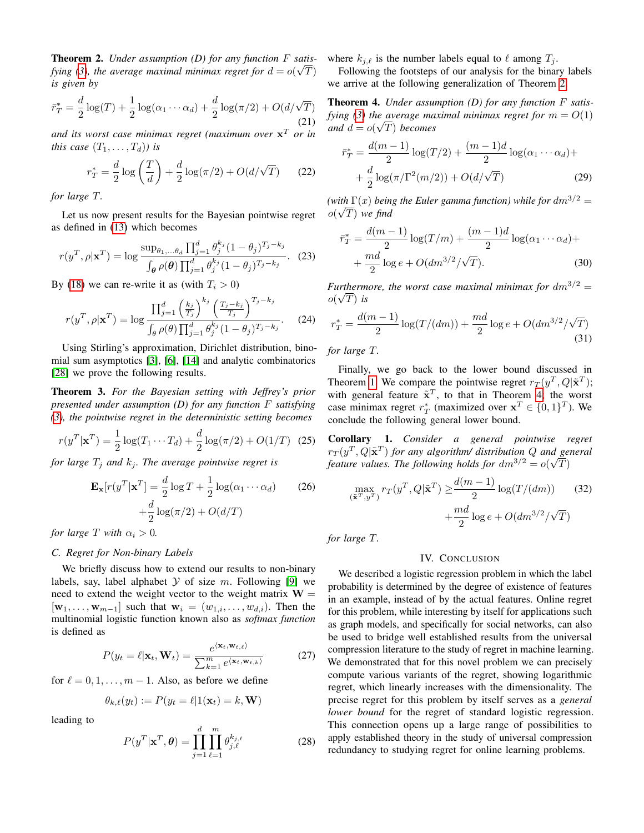<span id="page-4-0"></span>Theorem 2. *Under assumption (D) for any function* F *satis-*√ *fying [\(3\)](#page-1-1), the average maximal minimax regret for*  $d = o(\sqrt{T})$ *is given by*

$$
\bar{r}_T^* = \frac{d}{2}\log(T) + \frac{1}{2}\log(\alpha_1 \cdots \alpha_d) + \frac{d}{2}\log(\pi/2) + O(d/\sqrt{T})
$$
\n(21)

*and its worst case minimax regret (maximum over* x <sup>T</sup> *or in this case*  $(T_1, \ldots, T_d)$  *is* 

$$
r_T^* = \frac{d}{2}\log\left(\frac{T}{d}\right) + \frac{d}{2}\log(\pi/2) + O(d/\sqrt{T})\tag{22}
$$

*for large* T*.*

Let us now present results for the Bayesian pointwise regret as defined in [\(13\)](#page-2-1) which becomes

$$
r(y^T, \rho | \mathbf{x}^T) = \log \frac{\sup_{\theta_1, \dots, \theta_d} \prod_{j=1}^d \theta_j^{k_j} (1 - \theta_j)^{T_j - k_j}}{\int_{\theta} \rho(\theta) \prod_{j=1}^d \theta_j^{k_j} (1 - \theta_j)^{T_j - k_j}}.
$$
 (23)

By [\(18\)](#page-3-2) we can re-write it as (with  $T_i > 0$ )

$$
r(y^T, \rho | \mathbf{x}^T) = \log \frac{\prod_{j=1}^d \left(\frac{k_j}{T_j}\right)^{k_j} \left(\frac{T_j - k_j}{T_j}\right)^{T_j - k_j}}{\int_{\theta} \rho(\theta) \prod_{j=1}^d \theta_j^{k_j} (1 - \theta_j)^{T_j - k_j}}.
$$
 (24)

Using Stirling's approximation, Dirichlet distribution, binomial sum asymptotics [\[3\]](#page-5-30), [\[6\]](#page-5-29), [\[14\]](#page-5-28) and analytic combinatorics [\[28\]](#page-5-15) we prove the following results.

<span id="page-4-3"></span>Theorem 3. *For the Bayesian setting with Jeffrey's prior presented under assumption (D) for any function* F *satisfying [\(3\)](#page-1-1), the pointwise regret in the deterministic setting becomes*

$$
r(y^T | \mathbf{x}^T) = \frac{1}{2} \log(T_1 \cdots T_d) + \frac{d}{2} \log(\pi/2) + O(1/T) \tag{25}
$$

*for large*  $T_i$  *and*  $k_i$ *. The average pointwise regret is* 

$$
\mathbf{E}_{\mathbf{x}}[r(y^T|\mathbf{x}^T] = \frac{d}{2}\log T + \frac{1}{2}\log(\alpha_1 \cdots \alpha_d) \qquad (26)
$$

$$
+ \frac{d}{2}\log(\pi/2) + O(d/T)
$$

*for large*  $T$  *with*  $\alpha_i > 0$ *.* 

## *C. Regret for Non-binary Labels*

We briefly discuss how to extend our results to non-binary labels, say, label alphabet  $Y$  of size m. Following [\[9\]](#page-5-3) we need to extend the weight vector to the weight matrix  $W =$  $[\mathbf{w}_1, \dots, \mathbf{w}_{m-1}]$  such that  $\mathbf{w}_i = (w_{1,i}, \dots, w_{d,i})$ . Then the multinomial logistic function known also as *softmax function* is defined as

$$
P(y_t = \ell | \mathbf{x}_t, \mathbf{W}_t) = \frac{e^{\langle \mathbf{x}_t, \mathbf{w}_{t,\ell} \rangle}}{\sum_{k=1}^m e^{\langle \mathbf{x}_t, \mathbf{w}_{t,k} \rangle}}
$$
(27)

for  $\ell = 0, 1, \ldots, m - 1$ . Also, as before we define

$$
\theta_{k,\ell}(y_t) := P(y_t = \ell | 1(\mathbf{x}_t) = k, \mathbf{W})
$$

leading to

$$
P(y^T|\mathbf{x}^T,\boldsymbol{\theta}) = \prod_{j=1}^d \prod_{\ell=1}^m \theta_{j,\ell}^{k_{j,\ell}}
$$
 (28)

where  $k_{j,\ell}$  is the number labels equal to  $\ell$  among  $T_j$ .

Following the footsteps of our analysis for the binary labels we arrive at the following generalization of Theorem [2.](#page-4-0)

<span id="page-4-1"></span>Theorem 4. *Under assumption (D) for any function* F *satisfying* [\(3\)](#page-1-1) the average maximal minimax regret for  $m = O(1)$ *and*  $d = o(\sqrt{T})$  *becomes* 

$$
\bar{r}_T^* = \frac{d(m-1)}{2} \log(T/2) + \frac{(m-1)d}{2} \log(\alpha_1 \cdots \alpha_d) +
$$

$$
+ \frac{d}{2} \log(\pi/\Gamma^2(m/2)) + O(d/\sqrt{T}) \tag{29}
$$

(with  $\Gamma(x)$  being the Euler gamma function) while for  $dm^{3/2} =$  $o(\sqrt{T})$  we find

$$
\bar{r}_T^* = \frac{d(m-1)}{2} \log(T/m) + \frac{(m-1)d}{2} \log(\alpha_1 \cdots \alpha_d) + \frac{md}{2} \log e + O(dm^{3/2}/\sqrt{T}).
$$
\n(30)

*Furthermore, the worst case maximal minimax for*  $dm^{3/2} =$  $o(\sqrt{T})$  *is* 

$$
r_T^* = \frac{d(m-1)}{2}\log(T/(dm)) + \frac{md}{2}\log e + O(dm^{3/2}/\sqrt{T})
$$
\n(31)

*for large* T*.*

Finally, we go back to the lower bound discussed in Theorem [1.](#page-3-1) We compare the pointwise regret  $r_T(y^T, Q | \tilde{\mathbf{x}}^T)$ ; with general feature  $\tilde{\mathbf{x}}^T$ , to that in Theorem [4;](#page-4-1) the worst case minimax regret  $r_T^*$  (maximized over  $\mathbf{x}^T \in \{0, 1\}^T$ ). We conclude the following general lower bound.

<span id="page-4-2"></span>Corollary 1. *Consider a general pointwise regret*  $rr(y^T, Q | \tilde{\mathbf{x}}^T)$  *for any algorithm/ distribution Q and general* feature values. The following holds for  $dm^{3/2} = o(\sqrt{T})$ 

$$
\max_{\left(\tilde{\mathbf{x}}^T, y^T\right)} r_T(y^T, Q | \tilde{\mathbf{x}}^T) \ge \frac{d(m-1)}{2} \log(T/(dm)) \tag{32}
$$
\n
$$
+ \frac{md}{2} \log e + O(dm^{3/2}/\sqrt{T})
$$

*for large* T*.*

#### IV. CONCLUSION

We described a logistic regression problem in which the label probability is determined by the degree of existence of features in an example, instead of by the actual features. Online regret for this problem, while interesting by itself for applications such as graph models, and specifically for social networks, can also be used to bridge well established results from the universal compression literature to the study of regret in machine learning. We demonstrated that for this novel problem we can precisely compute various variants of the regret, showing logarithmic regret, which linearly increases with the dimensionality. The precise regret for this problem by itself serves as a *general lower bound* for the regret of standard logistic regression. This connection opens up a large range of possibilities to apply established theory in the study of universal compression redundancy to studying regret for online learning problems.